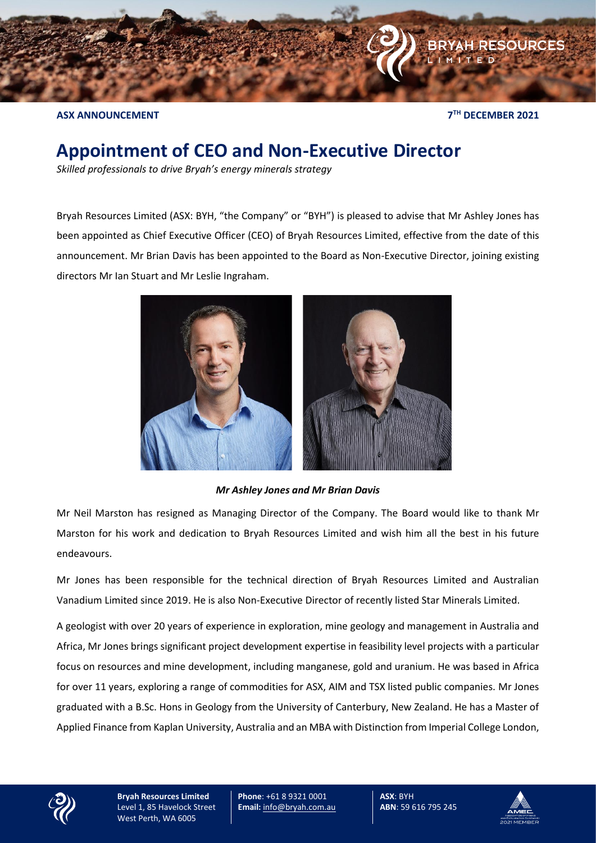

**ASX ANNOUNCEMENT 7**

**TH DECEMBER 2021**

## **Appointment of CEO and Non-Executive Director**

*Skilled professionals to drive Bryah's energy minerals strategy*

Bryah Resources Limited (ASX: BYH, "the Company" or "BYH") is pleased to advise that Mr Ashley Jones has been appointed as Chief Executive Officer (CEO) of Bryah Resources Limited, effective from the date of this announcement. Mr Brian Davis has been appointed to the Board as Non-Executive Director, joining existing directors Mr Ian Stuart and Mr Leslie Ingraham.



*Mr Ashley Jones and Mr Brian Davis*

Mr Neil Marston has resigned as Managing Director of the Company. The Board would like to thank Mr Marston for his work and dedication to Bryah Resources Limited and wish him all the best in his future endeavours.

Mr Jones has been responsible for the technical direction of Bryah Resources Limited and Australian Vanadium Limited since 2019. He is also Non-Executive Director of recently listed Star Minerals Limited.

A geologist with over 20 years of experience in exploration, mine geology and management in Australia and Africa, Mr Jones brings significant project development expertise in feasibility level projects with a particular focus on resources and mine development, including manganese, gold and uranium. He was based in Africa for over 11 years, exploring a range of commodities for ASX, AIM and TSX listed public companies. Mr Jones graduated with a B.Sc. Hons in Geology from the University of Canterbury, New Zealand. He has a Master of Applied Finance from Kaplan University, Australia and an MBA with Distinction from Imperial College London,



**Bryah Resources Limited** Level 1, 85 Havelock Street West Perth, WA 6005

**Phone**: +61 8 9321 0001 **Email:** [info@bryah.com.au](mailto:info@bryah.com.au) **ASX**: BYH **ABN**: 59 616 795 245

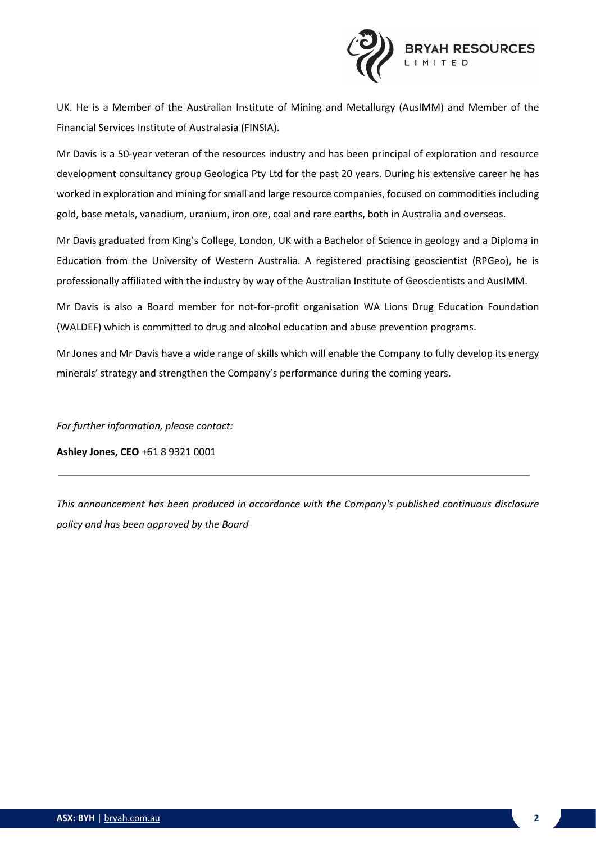

UK. He is a Member of the Australian Institute of Mining and Metallurgy (AusIMM) and Member of the Financial Services Institute of Australasia (FINSIA).

Mr Davis is a 50-year veteran of the resources industry and has been principal of exploration and resource development consultancy group Geologica Pty Ltd for the past 20 years. During his extensive career he has worked in exploration and mining for small and large resource companies, focused on commodities including gold, base metals, vanadium, uranium, iron ore, coal and rare earths, both in Australia and overseas.

Mr Davis graduated from King's College, London, UK with a Bachelor of Science in geology and a Diploma in Education from the University of Western Australia. A registered practising geoscientist (RPGeo), he is professionally affiliated with the industry by way of the Australian Institute of Geoscientists and AusIMM.

Mr Davis is also a Board member for not-for-profit organisation WA Lions Drug Education Foundation (WALDEF) which is committed to drug and alcohol education and abuse prevention programs.

Mr Jones and Mr Davis have a wide range of skills which will enable the Company to fully develop its energy minerals' strategy and strengthen the Company's performance during the coming years.

*For further information, please contact:* 

**Ashley Jones, CEO** +61 8 9321 0001

*This announcement has been produced in accordance with the Company's published continuous disclosure policy and has been approved by the Board*